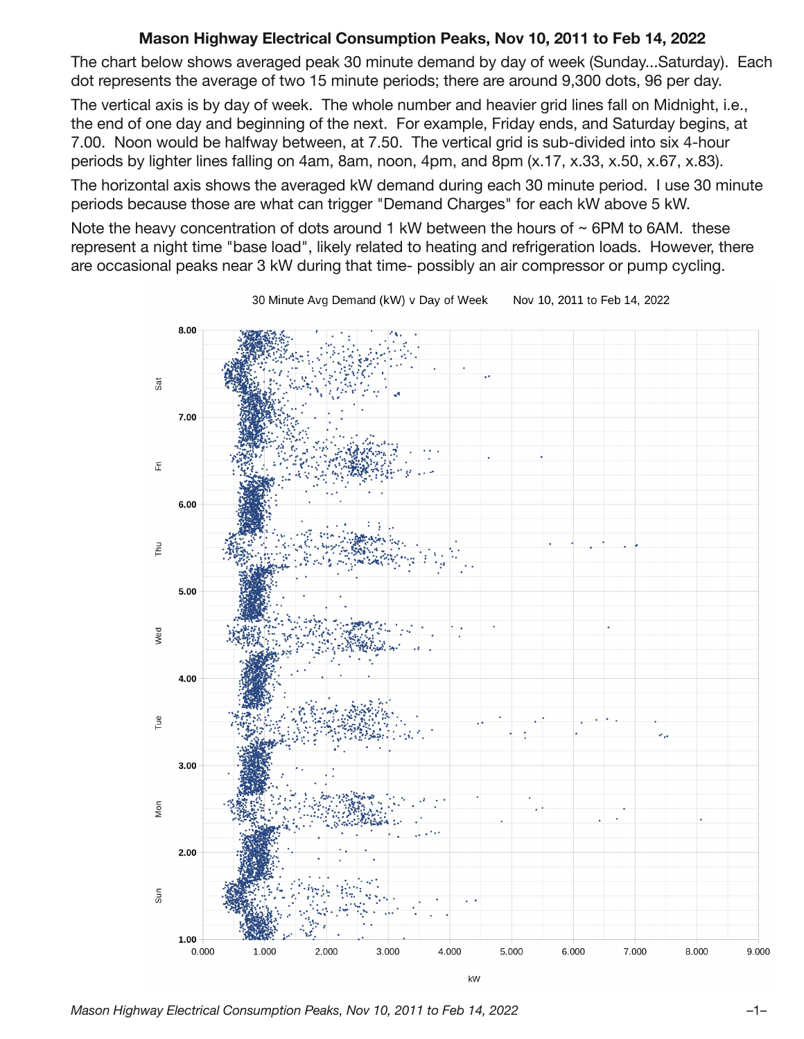## **Mason Highway Electrical Consumption Peaks, Nov 10, 2011 to Feb 14, 2022**

The chart below shows averaged peak 30 minute demand by day of week (Sunday...Saturday). Each dot represents the average of two 15 minute periods; there are around 9,300 dots, 96 per day.

The vertical axis is by day of week. The whole number and heavier grid lines fall on Midnight, i.e., the end of one day and beginning of the next. For example, Friday ends, and Saturday begins, at 7.00. Noon would be halfway between, at 7.50. The vertical grid is sub-divided into six 4-hour periods by lighter lines falling on 4am, 8am, noon, 4pm, and 8pm (x.17, x.33, x.50, x.67, x.83).

The horizontal axis shows the averaged kW demand during each 30 minute period. I use 30 minute periods because those are what can trigger "Demand Charges" for each kW above 5 kW.

Note the heavy concentration of dots around 1 kW between the hours of  $\sim$  6PM to 6AM. these represent a night time "base load", likely related to heating and refrigeration loads. However, there are occasional peaks near 3 kW during that time- possibly an air compressor or pump cycling.



30 Minute Avg Demand (kW) v Day of Week Nov 10, 2011 to Feb 14, 2022

*Mason Highway Electrical Consumption Peaks, Nov 10, 2011 to Feb 14, 2022* –1–